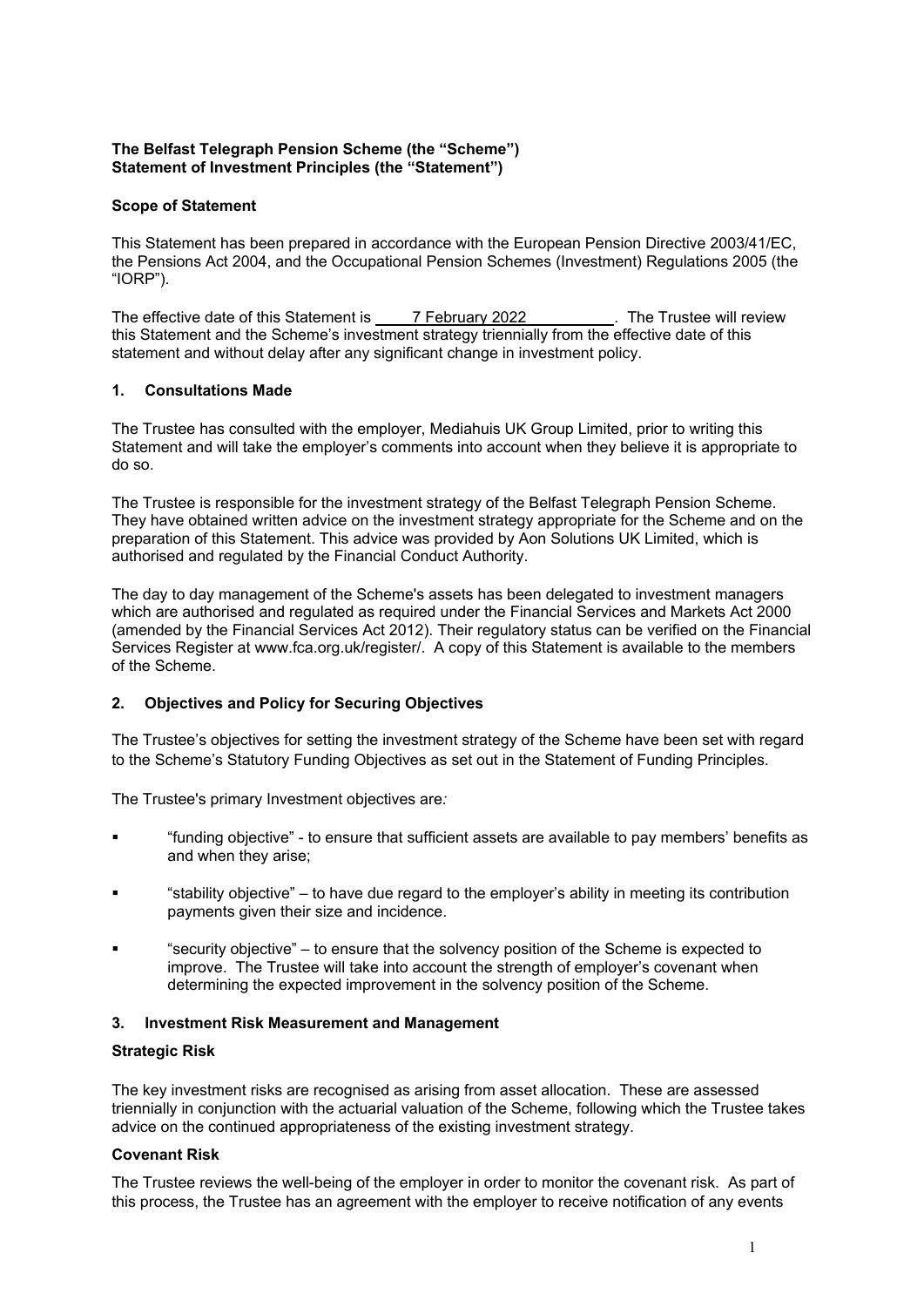# **The Belfast Telegraph Pension Scheme (the "Scheme") Statement of Investment Principles (the "Statement")**

### **Scope of Statement**

This Statement has been prepared in accordance with the European Pension Directive 2003/41/EC, the Pensions Act 2004, and the Occupational Pension Schemes (Investment) Regulations 2005 (the "IORP").

The effective date of this Statement is 7 February 2022 . The Trustee will review this Statement and the Scheme's investment strategy triennially from the effective date of this statement and without delay after any significant change in investment policy.

#### **1. Consultations Made**

The Trustee has consulted with the employer, Mediahuis UK Group Limited, prior to writing this Statement and will take the employer's comments into account when they believe it is appropriate to do so.

The Trustee is responsible for the investment strategy of the Belfast Telegraph Pension Scheme. They have obtained written advice on the investment strategy appropriate for the Scheme and on the preparation of this Statement. This advice was provided by Aon Solutions UK Limited, which is authorised and regulated by the Financial Conduct Authority.

The day to day management of the Scheme's assets has been delegated to investment managers which are authorised and regulated as required under the Financial Services and Markets Act 2000 (amended by the Financial Services Act 2012). Their regulatory status can be verified on the Financial Services Register at www.fca.org.uk/register/. A copy of this Statement is available to the members of the Scheme.

# **2. Objectives and Policy for Securing Objectives**

The Trustee's objectives for setting the investment strategy of the Scheme have been set with regard to the Scheme's Statutory Funding Objectives as set out in the Statement of Funding Principles.

The Trustee's primary Investment objectives are*:*

- "funding objective" to ensure that sufficient assets are available to pay members' benefits as and when they arise;
- "stability objective" to have due regard to the employer's ability in meeting its contribution payments given their size and incidence.
- "security objective" to ensure that the solvency position of the Scheme is expected to improve. The Trustee will take into account the strength of employer's covenant when determining the expected improvement in the solvency position of the Scheme.

#### **3. Investment Risk Measurement and Management**

#### **Strategic Risk**

The key investment risks are recognised as arising from asset allocation. These are assessed triennially in conjunction with the actuarial valuation of the Scheme, following which the Trustee takes advice on the continued appropriateness of the existing investment strategy.

#### **Covenant Risk**

The Trustee reviews the well-being of the employer in order to monitor the covenant risk. As part of this process, the Trustee has an agreement with the employer to receive notification of any events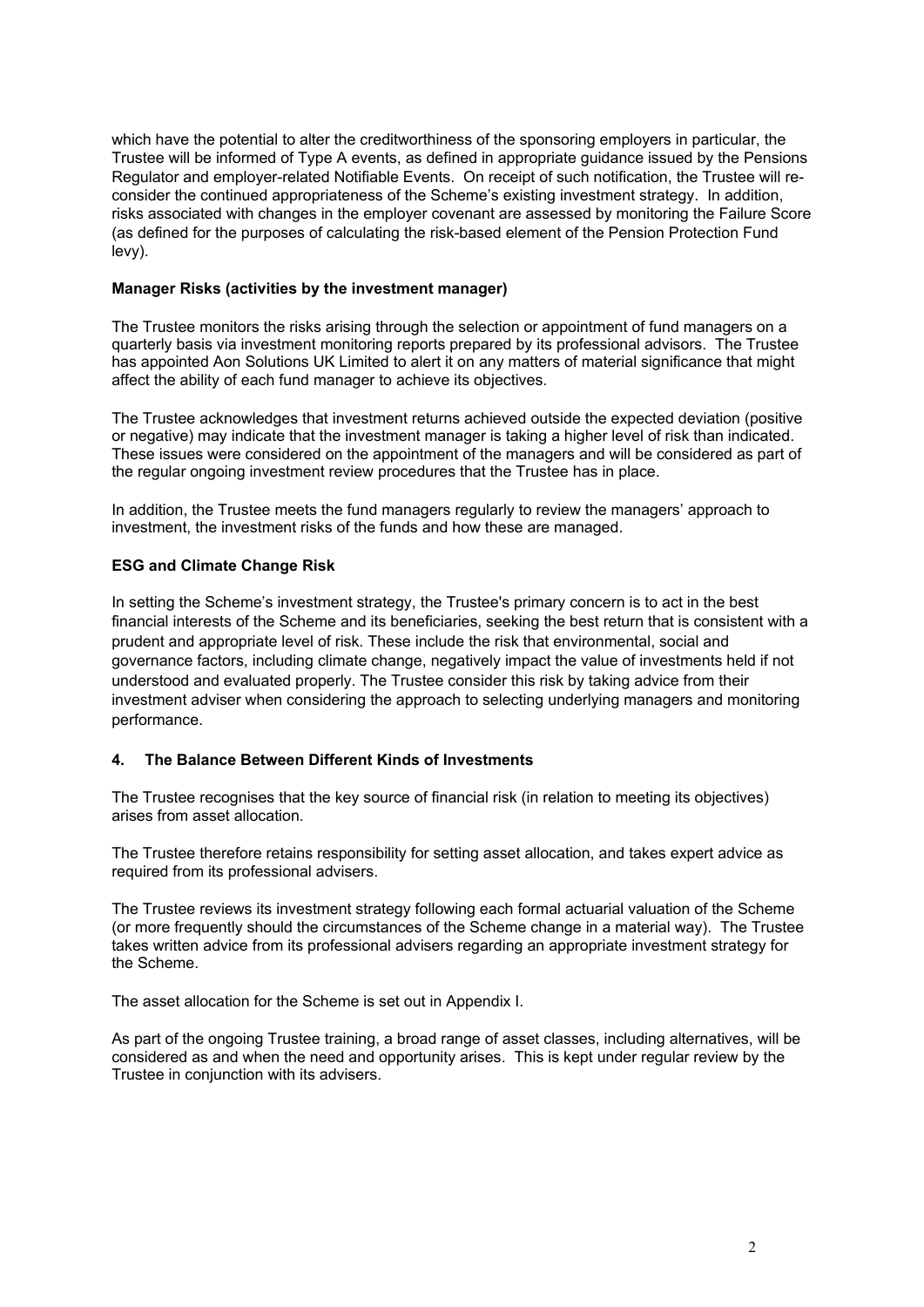which have the potential to alter the creditworthiness of the sponsoring employers in particular, the Trustee will be informed of Type A events, as defined in appropriate guidance issued by the Pensions Regulator and employer-related Notifiable Events. On receipt of such notification, the Trustee will reconsider the continued appropriateness of the Scheme's existing investment strategy. In addition, risks associated with changes in the employer covenant are assessed by monitoring the Failure Score (as defined for the purposes of calculating the risk-based element of the Pension Protection Fund levy).

### **Manager Risks (activities by the investment manager)**

The Trustee monitors the risks arising through the selection or appointment of fund managers on a quarterly basis via investment monitoring reports prepared by its professional advisors. The Trustee has appointed Aon Solutions UK Limited to alert it on any matters of material significance that might affect the ability of each fund manager to achieve its objectives.

The Trustee acknowledges that investment returns achieved outside the expected deviation (positive or negative) may indicate that the investment manager is taking a higher level of risk than indicated. These issues were considered on the appointment of the managers and will be considered as part of the regular ongoing investment review procedures that the Trustee has in place.

In addition, the Trustee meets the fund managers regularly to review the managers' approach to investment, the investment risks of the funds and how these are managed.

#### **ESG and Climate Change Risk**

In setting the Scheme's investment strategy, the Trustee's primary concern is to act in the best financial interests of the Scheme and its beneficiaries, seeking the best return that is consistent with a prudent and appropriate level of risk. These include the risk that environmental, social and governance factors, including climate change, negatively impact the value of investments held if not understood and evaluated properly. The Trustee consider this risk by taking advice from their investment adviser when considering the approach to selecting underlying managers and monitoring performance.

#### **4. The Balance Between Different Kinds of Investments**

The Trustee recognises that the key source of financial risk (in relation to meeting its objectives) arises from asset allocation.

The Trustee therefore retains responsibility for setting asset allocation, and takes expert advice as required from its professional advisers.

The Trustee reviews its investment strategy following each formal actuarial valuation of the Scheme (or more frequently should the circumstances of the Scheme change in a material way). The Trustee takes written advice from its professional advisers regarding an appropriate investment strategy for the Scheme.

The asset allocation for the Scheme is set out in Appendix I.

As part of the ongoing Trustee training, a broad range of asset classes, including alternatives, will be considered as and when the need and opportunity arises. This is kept under regular review by the Trustee in conjunction with its advisers.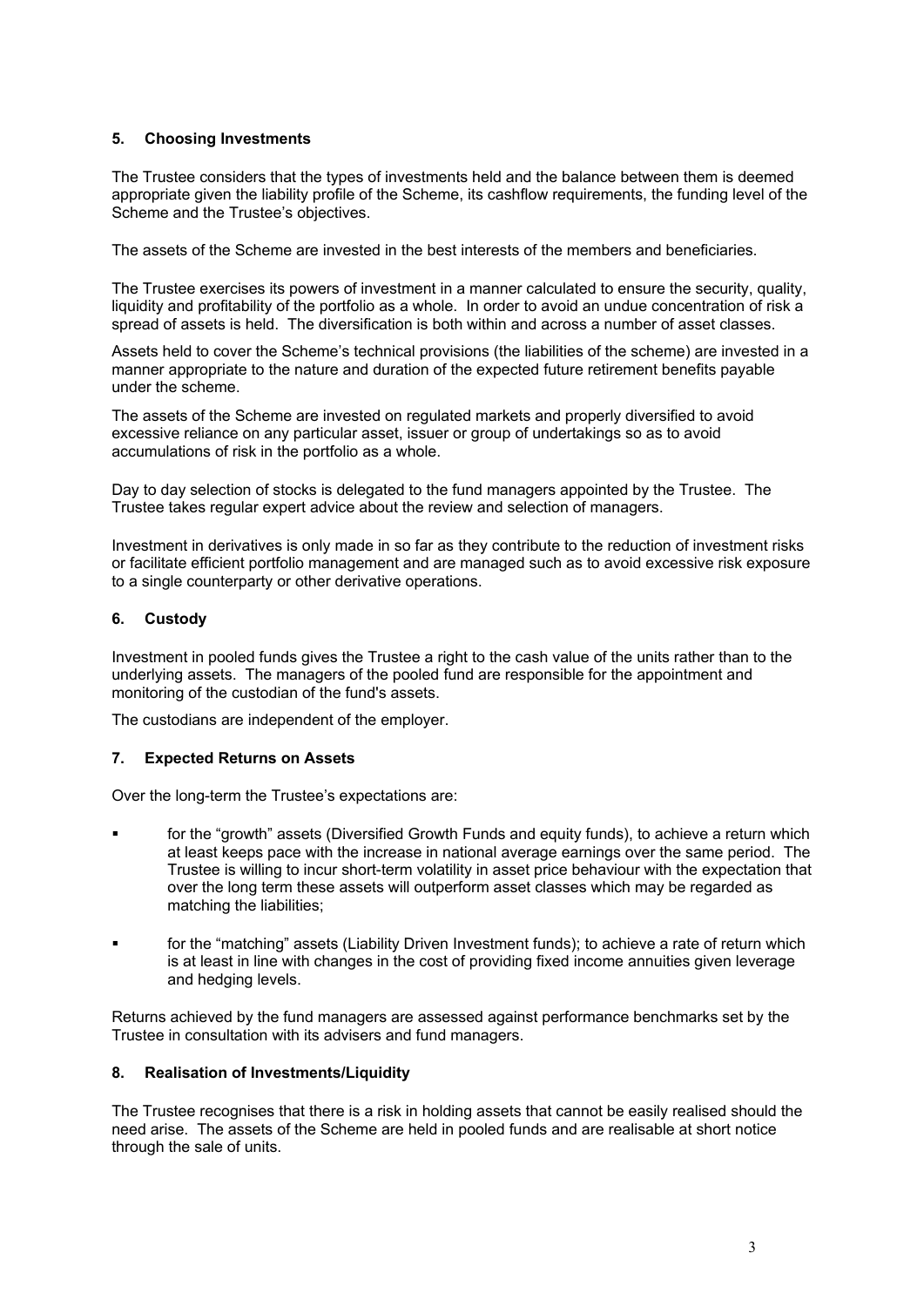## **5. Choosing Investments**

The Trustee considers that the types of investments held and the balance between them is deemed appropriate given the liability profile of the Scheme, its cashflow requirements, the funding level of the Scheme and the Trustee's objectives.

The assets of the Scheme are invested in the best interests of the members and beneficiaries.

The Trustee exercises its powers of investment in a manner calculated to ensure the security, quality, liquidity and profitability of the portfolio as a whole. In order to avoid an undue concentration of risk a spread of assets is held. The diversification is both within and across a number of asset classes.

Assets held to cover the Scheme's technical provisions (the liabilities of the scheme) are invested in a manner appropriate to the nature and duration of the expected future retirement benefits payable under the scheme.

The assets of the Scheme are invested on regulated markets and properly diversified to avoid excessive reliance on any particular asset, issuer or group of undertakings so as to avoid accumulations of risk in the portfolio as a whole.

Day to day selection of stocks is delegated to the fund managers appointed by the Trustee. The Trustee takes regular expert advice about the review and selection of managers.

Investment in derivatives is only made in so far as they contribute to the reduction of investment risks or facilitate efficient portfolio management and are managed such as to avoid excessive risk exposure to a single counterparty or other derivative operations.

#### **6. Custody**

Investment in pooled funds gives the Trustee a right to the cash value of the units rather than to the underlying assets. The managers of the pooled fund are responsible for the appointment and monitoring of the custodian of the fund's assets.

The custodians are independent of the employer.

#### **7. Expected Returns on Assets**

Over the long-term the Trustee's expectations are:

- for the "growth" assets (Diversified Growth Funds and equity funds), to achieve a return which at least keeps pace with the increase in national average earnings over the same period. The Trustee is willing to incur short-term volatility in asset price behaviour with the expectation that over the long term these assets will outperform asset classes which may be regarded as matching the liabilities;
- for the "matching" assets (Liability Driven Investment funds); to achieve a rate of return which is at least in line with changes in the cost of providing fixed income annuities given leverage and hedging levels.

Returns achieved by the fund managers are assessed against performance benchmarks set by the Trustee in consultation with its advisers and fund managers.

#### **8. Realisation of Investments/Liquidity**

The Trustee recognises that there is a risk in holding assets that cannot be easily realised should the need arise. The assets of the Scheme are held in pooled funds and are realisable at short notice through the sale of units.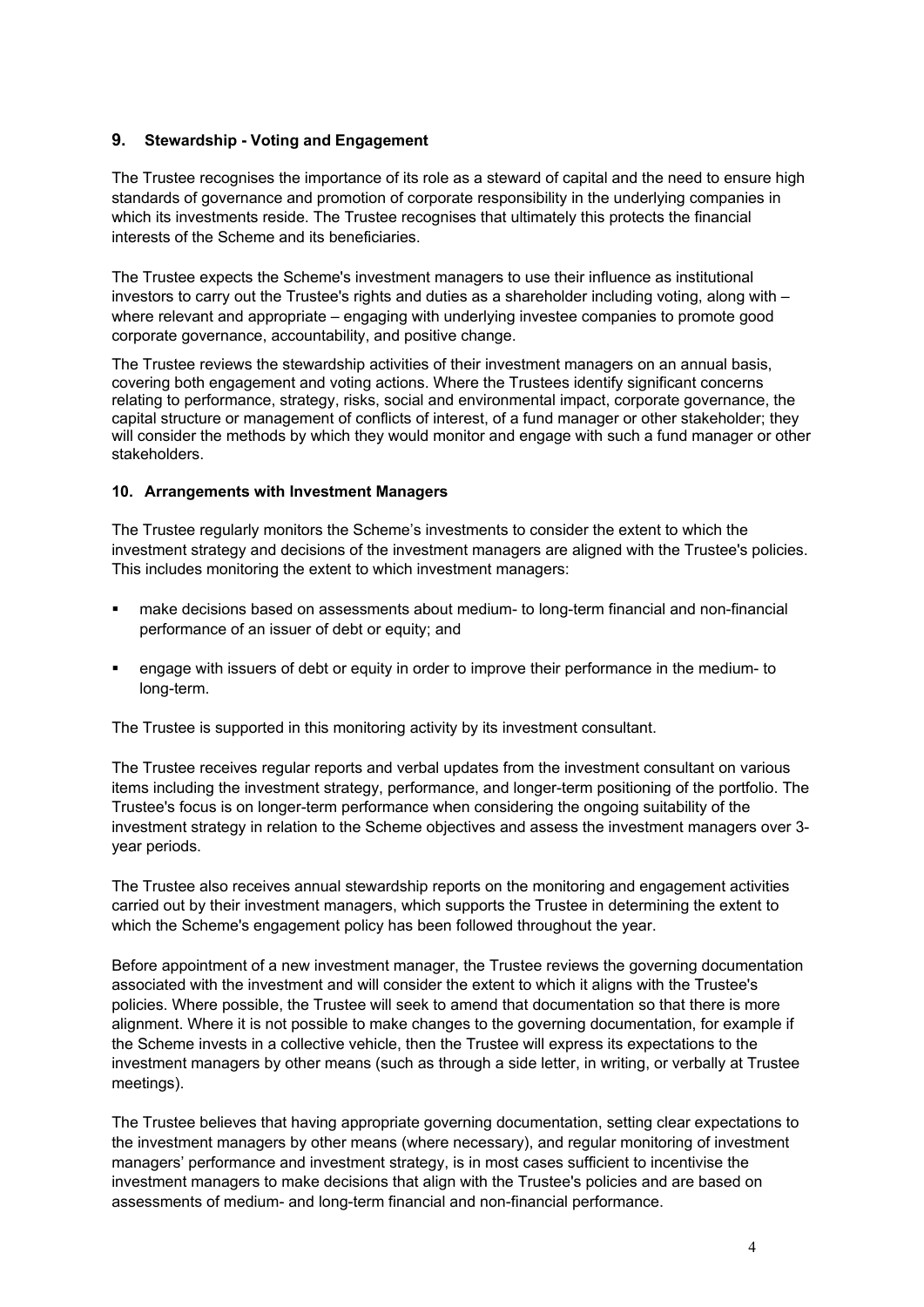# **9. Stewardship - Voting and Engagement**

The Trustee recognises the importance of its role as a steward of capital and the need to ensure high standards of governance and promotion of corporate responsibility in the underlying companies in which its investments reside. The Trustee recognises that ultimately this protects the financial interests of the Scheme and its beneficiaries.

The Trustee expects the Scheme's investment managers to use their influence as institutional investors to carry out the Trustee's rights and duties as a shareholder including voting, along with – where relevant and appropriate – engaging with underlying investee companies to promote good corporate governance, accountability, and positive change.

The Trustee reviews the stewardship activities of their investment managers on an annual basis, covering both engagement and voting actions. Where the Trustees identify significant concerns relating to performance, strategy, risks, social and environmental impact, corporate governance, the capital structure or management of conflicts of interest, of a fund manager or other stakeholder; they will consider the methods by which they would monitor and engage with such a fund manager or other stakeholders.

# **10. Arrangements with Investment Managers**

The Trustee regularly monitors the Scheme's investments to consider the extent to which the investment strategy and decisions of the investment managers are aligned with the Trustee's policies. This includes monitoring the extent to which investment managers:

- make decisions based on assessments about medium- to long-term financial and non-financial performance of an issuer of debt or equity; and
- engage with issuers of debt or equity in order to improve their performance in the medium- to long-term.

The Trustee is supported in this monitoring activity by its investment consultant.

The Trustee receives regular reports and verbal updates from the investment consultant on various items including the investment strategy, performance, and longer-term positioning of the portfolio. The Trustee's focus is on longer-term performance when considering the ongoing suitability of the investment strategy in relation to the Scheme objectives and assess the investment managers over 3 year periods.

The Trustee also receives annual stewardship reports on the monitoring and engagement activities carried out by their investment managers, which supports the Trustee in determining the extent to which the Scheme's engagement policy has been followed throughout the year.

Before appointment of a new investment manager, the Trustee reviews the governing documentation associated with the investment and will consider the extent to which it aligns with the Trustee's policies. Where possible, the Trustee will seek to amend that documentation so that there is more alignment. Where it is not possible to make changes to the governing documentation, for example if the Scheme invests in a collective vehicle, then the Trustee will express its expectations to the investment managers by other means (such as through a side letter, in writing, or verbally at Trustee meetings).

The Trustee believes that having appropriate governing documentation, setting clear expectations to the investment managers by other means (where necessary), and regular monitoring of investment managers' performance and investment strategy, is in most cases sufficient to incentivise the investment managers to make decisions that align with the Trustee's policies and are based on assessments of medium- and long-term financial and non-financial performance.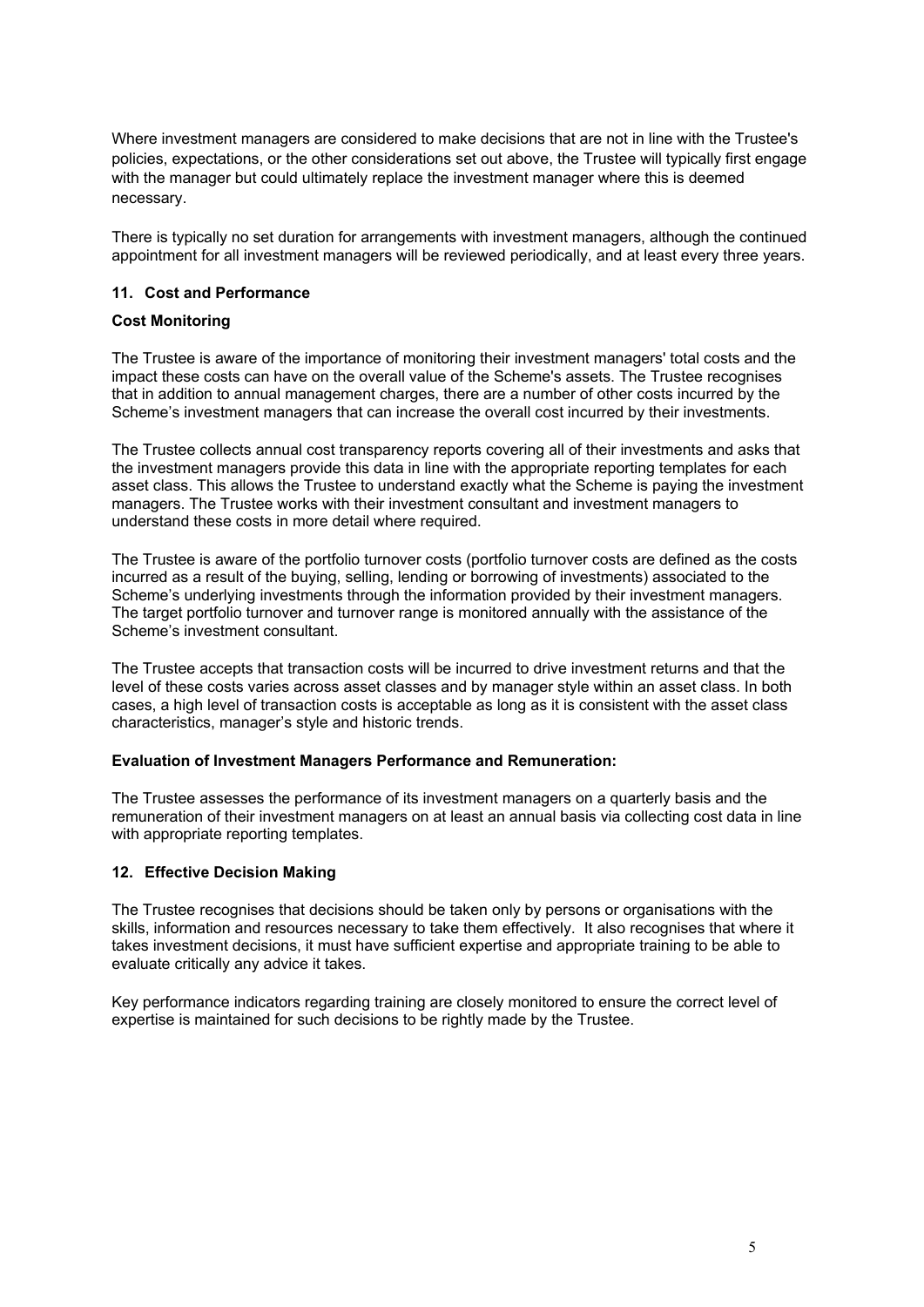Where investment managers are considered to make decisions that are not in line with the Trustee's policies, expectations, or the other considerations set out above, the Trustee will typically first engage with the manager but could ultimately replace the investment manager where this is deemed necessary.

There is typically no set duration for arrangements with investment managers, although the continued appointment for all investment managers will be reviewed periodically, and at least every three years.

# **11. Cost and Performance**

#### **Cost Monitoring**

The Trustee is aware of the importance of monitoring their investment managers' total costs and the impact these costs can have on the overall value of the Scheme's assets. The Trustee recognises that in addition to annual management charges, there are a number of other costs incurred by the Scheme's investment managers that can increase the overall cost incurred by their investments.

The Trustee collects annual cost transparency reports covering all of their investments and asks that the investment managers provide this data in line with the appropriate reporting templates for each asset class. This allows the Trustee to understand exactly what the Scheme is paying the investment managers. The Trustee works with their investment consultant and investment managers to understand these costs in more detail where required.

The Trustee is aware of the portfolio turnover costs (portfolio turnover costs are defined as the costs incurred as a result of the buying, selling, lending or borrowing of investments) associated to the Scheme's underlying investments through the information provided by their investment managers. The target portfolio turnover and turnover range is monitored annually with the assistance of the Scheme's investment consultant.

The Trustee accepts that transaction costs will be incurred to drive investment returns and that the level of these costs varies across asset classes and by manager style within an asset class. In both cases, a high level of transaction costs is acceptable as long as it is consistent with the asset class characteristics, manager's style and historic trends.

#### **Evaluation of Investment Managers Performance and Remuneration:**

The Trustee assesses the performance of its investment managers on a quarterly basis and the remuneration of their investment managers on at least an annual basis via collecting cost data in line with appropriate reporting templates.

# **12. Effective Decision Making**

The Trustee recognises that decisions should be taken only by persons or organisations with the skills, information and resources necessary to take them effectively. It also recognises that where it takes investment decisions, it must have sufficient expertise and appropriate training to be able to evaluate critically any advice it takes.

Key performance indicators regarding training are closely monitored to ensure the correct level of expertise is maintained for such decisions to be rightly made by the Trustee.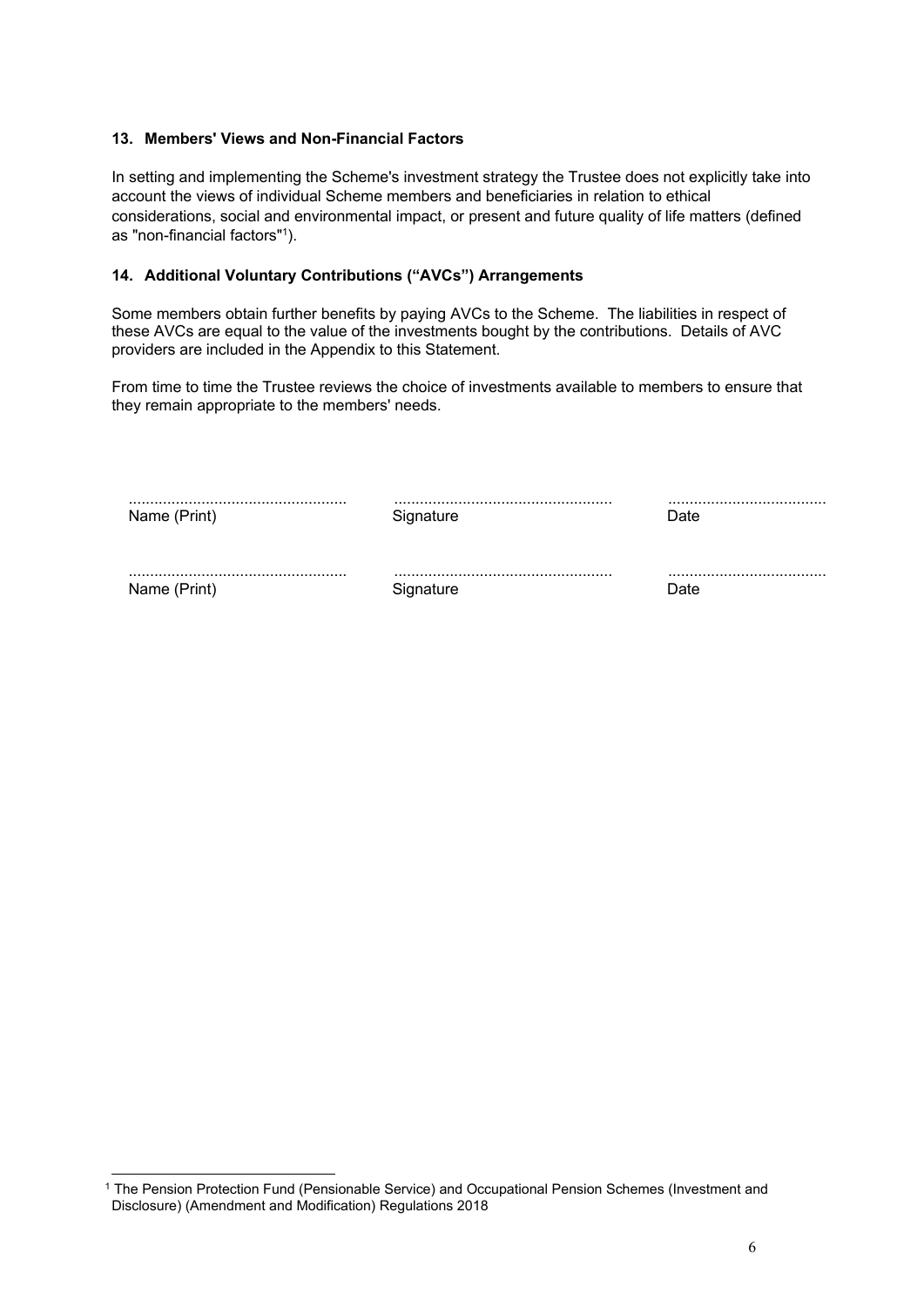# **13. Members' Views and Non-Financial Factors**

In setting and implementing the Scheme's investment strategy the Trustee does not explicitly take into account the views of individual Scheme members and beneficiaries in relation to ethical considerations, social and environmental impact, or present and future quality of life matters (defined as "non-financial factors"1).

# **14. Additional Voluntary Contributions ("AVCs") Arrangements**

Some members obtain further benefits by paying AVCs to the Scheme. The liabilities in respect of these AVCs are equal to the value of the investments bought by the contributions. Details of AVC providers are included in the Appendix to this Statement.

From time to time the Trustee reviews the choice of investments available to members to ensure that they remain appropriate to the members' needs.

| Name (Print) | Signature | Date |
|--------------|-----------|------|
|              |           |      |
| Name (Print) | Signature | Date |

<sup>1</sup> The Pension Protection Fund (Pensionable Service) and Occupational Pension Schemes (Investment and Disclosure) (Amendment and Modification) Regulations 2018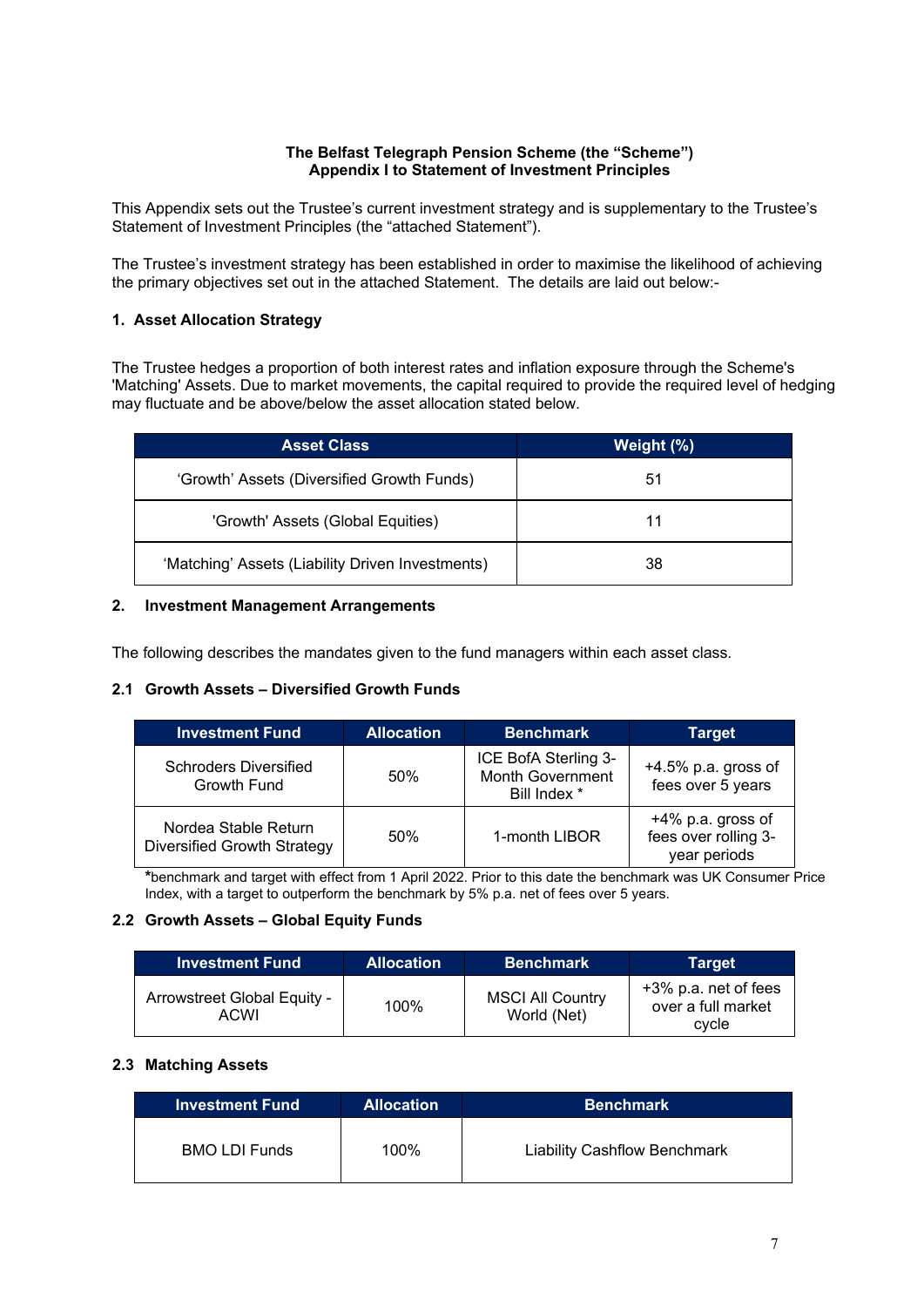### **The Belfast Telegraph Pension Scheme (the "Scheme") Appendix I to Statement of Investment Principles**

This Appendix sets out the Trustee's current investment strategy and is supplementary to the Trustee's Statement of Investment Principles (the "attached Statement").

The Trustee's investment strategy has been established in order to maximise the likelihood of achieving the primary objectives set out in the attached Statement. The details are laid out below:-

# **1. Asset Allocation Strategy**

The Trustee hedges a proportion of both interest rates and inflation exposure through the Scheme's 'Matching' Assets. Due to market movements, the capital required to provide the required level of hedging may fluctuate and be above/below the asset allocation stated below.

| <b>Asset Class</b>                               | Weight (%) |
|--------------------------------------------------|------------|
| 'Growth' Assets (Diversified Growth Funds)       | 51         |
| 'Growth' Assets (Global Equities)                | 11         |
| 'Matching' Assets (Liability Driven Investments) | 38         |

# **2. Investment Management Arrangements**

The following describes the mandates given to the fund managers within each asset class.

# **2.1 Growth Assets – Diversified Growth Funds**

| <b>Investment Fund</b>                              | <b>Allocation</b> | <b>Benchmark</b>                                                | <b>Target</b>                                             |
|-----------------------------------------------------|-------------------|-----------------------------------------------------------------|-----------------------------------------------------------|
| <b>Schroders Diversified</b><br>Growth Fund         | 50%               | ICE BofA Sterling 3-<br><b>Month Government</b><br>Bill Index * | $+4.5\%$ p.a. gross of<br>fees over 5 years               |
| Nordea Stable Return<br>Diversified Growth Strategy | 50%               | 1-month LIBOR                                                   | +4% p.a. gross of<br>fees over rolling 3-<br>year periods |

**\***benchmark and target with effect from 1 April 2022. Prior to this date the benchmark was UK Consumer Price Index, with a target to outperform the benchmark by 5% p.a. net of fees over 5 years.

# **2.2 Growth Assets – Global Equity Funds**

| <b>Investment Fund</b>              | <b>Allocation</b> | <b>Benchmark</b>                       | <b>Target</b>                                       |
|-------------------------------------|-------------------|----------------------------------------|-----------------------------------------------------|
| Arrowstreet Global Equity -<br>ACWI | 100%              | <b>MSCI All Country</b><br>World (Net) | +3% p.a. net of fees<br>over a full market<br>cycle |

# **2.3 Matching Assets**

| <b>Investment Fund</b> | <b>Allocation</b> | <b>Benchmark</b>                    |
|------------------------|-------------------|-------------------------------------|
| <b>BMO LDI Funds</b>   | $100\%$           | <b>Liability Cashflow Benchmark</b> |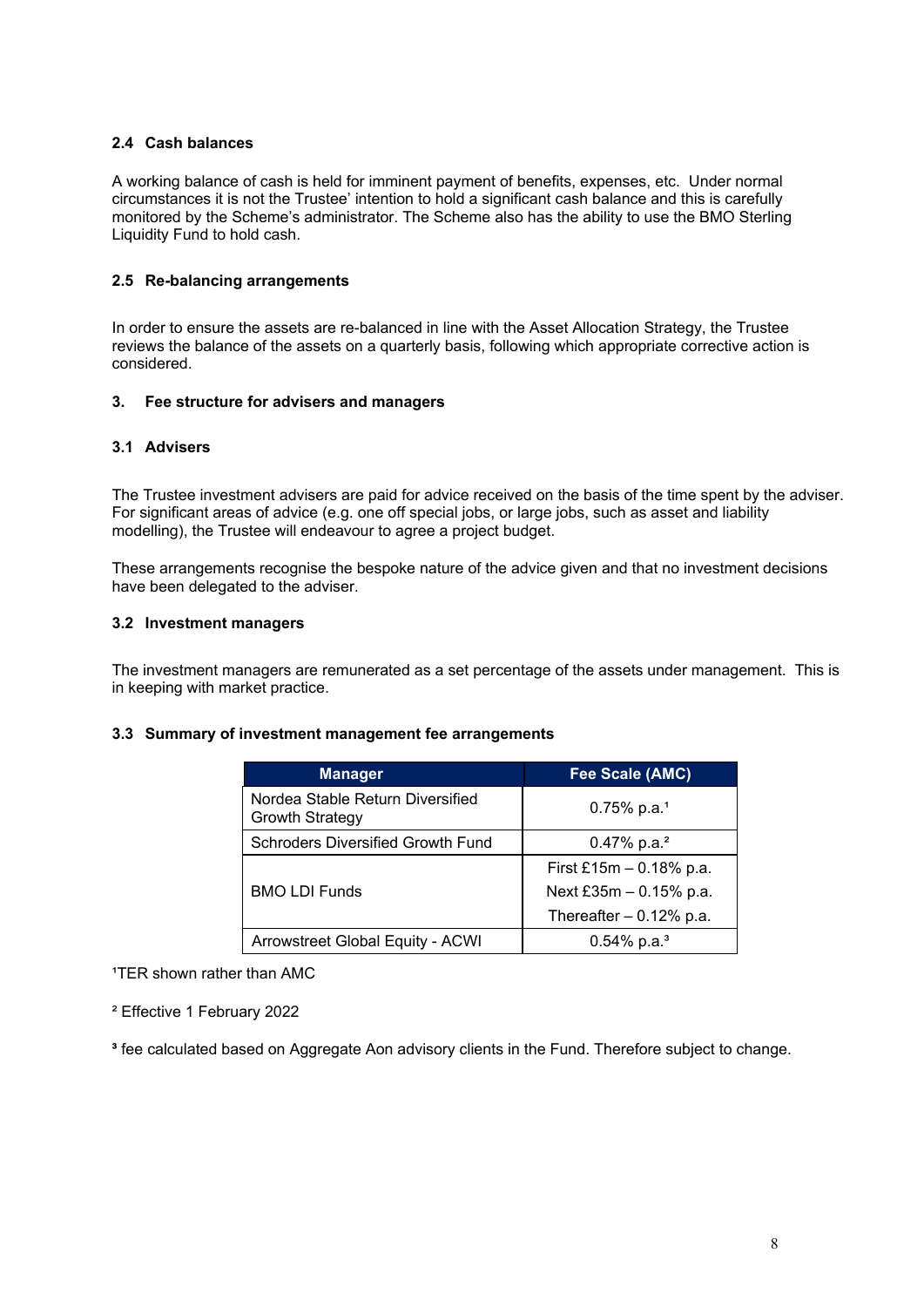# **2.4 Cash balances**

A working balance of cash is held for imminent payment of benefits, expenses, etc. Under normal circumstances it is not the Trustee' intention to hold a significant cash balance and this is carefully monitored by the Scheme's administrator. The Scheme also has the ability to use the BMO Sterling Liquidity Fund to hold cash.

# **2.5 Re-balancing arrangements**

In order to ensure the assets are re-balanced in line with the Asset Allocation Strategy, the Trustee reviews the balance of the assets on a quarterly basis, following which appropriate corrective action is considered.

# **3. Fee structure for advisers and managers**

# **3.1 Advisers**

The Trustee investment advisers are paid for advice received on the basis of the time spent by the adviser. For significant areas of advice (e.g. one off special jobs, or large jobs, such as asset and liability modelling), the Trustee will endeavour to agree a project budget.

These arrangements recognise the bespoke nature of the advice given and that no investment decisions have been delegated to the adviser.

# **3.2 Investment managers**

The investment managers are remunerated as a set percentage of the assets under management. This is in keeping with market practice.

# **3.3 Summary of investment management fee arrangements**

| <b>Manager</b>                                             | Fee Scale (AMC)            |
|------------------------------------------------------------|----------------------------|
| Nordea Stable Return Diversified<br><b>Growth Strategy</b> | $0.75\%$ p.a. <sup>1</sup> |
| Schroders Diversified Growth Fund                          | 0.47% p.a. <sup>2</sup>    |
|                                                            | First £15m $-$ 0.18% p.a.  |
| <b>BMO LDI Funds</b>                                       | Next £35m $-$ 0.15% p.a.   |
|                                                            | Thereafter $-0.12%$ p.a.   |
| Arrowstreet Global Equity - ACWI                           | $0.54\%$ p.a. <sup>3</sup> |

<sup>1</sup>TER shown rather than AMC

² Effective 1 February 2022

**³** fee calculated based on Aggregate Aon advisory clients in the Fund. Therefore subject to change.